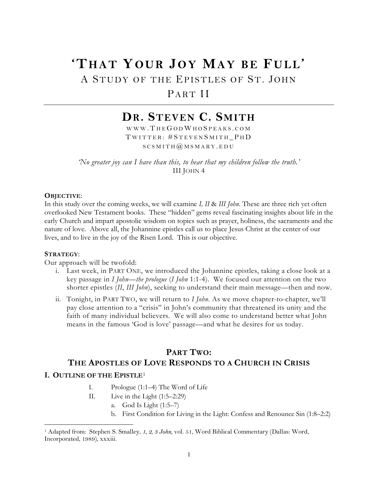# **'THAT YOUR JOY MAY BE FULL'**

## A STUDY OF THE EPISTLES OF ST. JOHN

## PART II

## **DR. STEVEN C. SMITH**

WWW. THE GOD WHO SPEAKS. COM T WITTER : # S TEVEN S MITH \_ P H D  $SCSMITH@MSMARY. EDU$ 

*'No greater joy can I have than this, to hear that my children follow the truth.'* III JOHN 4

#### **OBJECTIVE**:

In this study over the coming weeks, we will examine *I, II* & *III John*. These are three rich yet often overlooked New Testament books. These "hidden" gems reveal fascinating insights about life in the early Church and impart apostolic wisdom on topics such as prayer, holiness, the sacraments and the nature of love. Above all, the Johannine epistles call us to place Jesus Christ at the center of our lives, and to live in the joy of the Risen Lord. This is our objective.

#### **STRATEGY**:

 $\overline{a}$ 

Our approach will be twofold:

- i. Last week, in PART ONE, we introduced the Johannine epistles, taking a close look at a key passage in *I John—the prologue* (*I John* 1:1-4). We focused our attention on the two shorter epistles *(II, III John*), seeking to understand their main message—then and now.
- ii. Tonight, in PART TWO, we will return to *I John*. As we move chapter-to-chapter, we'll pay close attention to a "crisis" in John's community that threatened its unity and the faith of many individual believers. We will also come to understand better what John means in the famous 'God is love' passage—and what he desires for us today.

#### **PART TWO:**

#### **THE APOSTLES OF LOVE RESPONDS TO A CHURCH IN CRISIS**

#### **I. OUTLINE OF THE EPISTLE**[1](#page-0-0)

- I. Prologue (1:1–4) The Word of Life
- II. Live in the Light (1:5–2:29)
	- a. God Is Light (1:5–7)
		- b. First Condition for Living in the Light: Confess and Renounce Sin (1:8–2:2)

<span id="page-0-0"></span><sup>1</sup> Adapted from: Stephen S. Smalley, *1, 2, 3 John*, vol. 51, Word Biblical Commentary (Dallas: Word, Incorporated, 1989), xxxiii.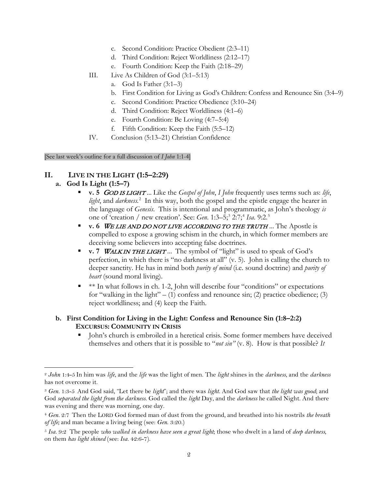- c. Second Condition: Practice Obedient (2:3–11)
- d. Third Condition: Reject Worldliness (2:12–17)
- e. Fourth Condition: Keep the Faith (2:18–29)
- III. Live As Children of God (3:1–5:13)
	- a. God Is Father (3:1–3)
	- b. First Condition for Living as God's Children: Confess and Renounce Sin (3:4–9)
	- c. Second Condition: Practice Obedience (3:10–24)
	- d. Third Condition: Reject Worldliness (4:1–6)
	- e. Fourth Condition: Be Loving (4:7–5:4)
	- f. Fifth Condition: Keep the Faith (5:5–12)
- IV. Conclusion (5:13–21) Christian Confidence

[See last week's outline for a full discussion of *I John* 1:1-4]

#### **II. LIVE IN THE LIGHT (1:5–2:29)**

#### **a. God Is Light (1:5–7)**

 $\overline{a}$ 

- **v. 5** GOD IS LIGHT *...* Like the *Gospel of John*, *I John* frequently uses terms such as: *life*, *light*, and *darkness.* [2](#page-1-0) In this way, both the gospel and the epistle engage the hearer in the language of *Genesis*. This is intentional and programmatic, as John's theology *is*  one of 'creation / new creation'. See: *Gen*. 1:3–5;[3](#page-1-1) 2:7;[4](#page-1-2) *Isa*. 9:2.[5](#page-1-3)
- **v. 6** WE LIE AND DO NOT LIVE ACCORDING TO THE TRUTH *...* The Apostle is compelled to expose a growing schism in the church, in which former members are deceiving some believers into accepting false doctrines.
- **v. 7 WALKIN THE LIGHT** ... The symbol of "light" is used to speak of God's perfection, in which there is "no darkness at all" (v. 5). John is calling the church to deeper sanctity. He has in mind both *purity of mind* (i.e. sound doctrine) and *purity of heart* (sound moral living).
- $*$   $*$  In what follows in ch. 1-2, John will describe four "conditions" or expectations for "walking in the light"  $- (1)$  confess and renounce sin; (2) practice obedience; (3) reject worldliness; and (4) keep the Faith.

#### **b. First Condition for Living in the Light: Confess and Renounce Sin (1:8–2:2) EXCURSUS: COMMUNITY IN CRISIS**

 John's church is embroiled in a heretical crisis. Some former members have deceived themselves and others that it is possible to "*not sin"* (v. 8). How is that possible? *It* 

<span id="page-1-0"></span><sup>2</sup> *John* 1:4-5 In him was *life*, and the *life* was the light of men. The *light* shines in the *darkness*, and the *darkness* has not overcome it.

<span id="page-1-1"></span><sup>3</sup> *Gen.* 1:3-5 And God said, "Let there be *light*"; and there was *light*. And God saw that *the light was good*; and God *separated the light from the darkness*. God called the *light* Day, and the *darkness* he called Night. And there was evening and there was morning, one day.

<span id="page-1-2"></span><sup>4</sup> *Gen.* 2:7 Then the LORD God formed man of dust from the ground, and breathed into his nostrils *the breath of life;* and man became a living being (see: *Gen*. 3:20.)

<span id="page-1-3"></span><sup>5</sup> *Isa.* 9:2 The people *who walked in darkness have seen a great light*; those who dwelt in a land of *deep darkness,* on them *has light shined* (see: *Isa.* 42:6-7).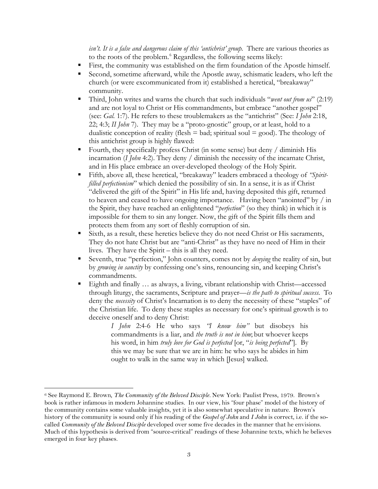*isn't. It is a false and dangerous claim of this 'antichrist' group.* There are various theories as to the roots of the problem.<sup>[6](#page-2-0)</sup> Regardless, the following seems likely:

- First, the community was established on the firm foundation of the Apostle himself.
- Second, sometime afterward, while the Apostle away, schismatic leaders, who left the church (or were excommunicated from it) established a heretical, "breakaway" community.
- Third, John writes and warns the church that such individuals "*went out from us*" (2:19) and are not loyal to Christ or His commandments, but embrace "another gospel" (see: *Gal.* 1:7). He refers to these troublemakers as the "antichrist" (See: *I John* 2:18, 22; 4:3; *II John* 7). They may be a "proto-gnostic" group, or at least, hold to a dualistic conception of reality (flesh  $=$  bad; spiritual soul  $=$  good). The theology of this antichrist group is highly flawed:
- Fourth, they specifically profess Christ (in some sense) but deny / diminish His incarnation (*I John* 4:2). They deny / diminish the necessity of the incarnate Christ, and in His place embrace an over-developed theology of the Holy Spirit.
- Fifth, above all, these heretical, "breakaway" leaders embraced a theology of *"Spiritfilled perfectionism*" which denied the possibility of sin. In a sense, it is as if Christ "delivered the gift of the Spirit" in His life and, having deposited this gift, returned to heaven and ceased to have ongoing importance. Having been "anointed" by / in the Spirit, they have reached an enlightened "*perfection*" (so they think) in which it is impossible for them to sin any longer. Now, the gift of the Spirit fills them and protects them from any sort of fleshly corruption of sin.
- Sixth, as a result, these heretics believe they do not need Christ or His sacraments, They do not hate Christ but are "anti-Christ" as they have no need of Him in their lives. They have the Spirit – this is all they need.
- Seventh, true "perfection," John counters, comes not by *denying* the reality of sin, but by *growing in sanctity* by confessing one's sins, renouncing sin, and keeping Christ's commandments.
- Eighth and finally ... as always, a living, vibrant relationship with Christ—accessed through liturgy, the sacraments, Scripture and prayer—*is the path to spiritual success.* To deny the *necessity* of Christ's Incarnation is to deny the necessity of these "staples" of the Christian life. To deny these staples as necessary for one's spiritual growth is to deceive oneself and to deny Christ:

*I John* 2:4-6 He who says *"I know him"* but disobeys his commandments is a liar, and *the truth is not in him*; but whoever keeps his word, in him *truly love for God is perfected* [or, "*is being perfected*"]. By this we may be sure that we are in him: he who says he abides in him ought to walk in the same way in which [Jesus] walked.

 $\overline{a}$ 

<span id="page-2-0"></span><sup>6</sup> See Raymond E. Brown*, The Community of the Beloved Disciple.* New York: Paulist Press, 1979. Brown's book is rather infamous in modern Johannine studies. In our view, his "four phase" model of the history of the community contains some valuable insights, yet it is also somewhat speculative in nature. Brown's history of the community is sound only if his reading of the *Gospel of John* and *I John* is correct, i.e. if the socalled *Community of the Beloved Disciple* developed over some five decades in the manner that he envisions. Much of this hypothesis is derived from "source-critical" readings of these Johannine texts, which he believes emerged in four key phases.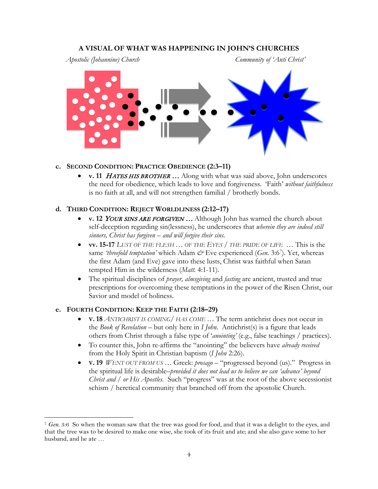#### **A VISUAL OF WHAT WAS HAPPENING IN JOHN'S CHURCHES**

*Apostolic (Johannine) Church Community of 'Anti Christ'*



#### **c. SECOND CONDITION: PRACTICE OBEDIENCE (2:3–11)**

• **v. 11** HATES HIS BROTHER … Along with what was said above, John underscores the need for obedience, which leads to love and forgiveness. 'Faith' *without faithfulness* is no faith at all, and will not strengthen familial / brotherly bonds.

#### **d. THIRD CONDITION: REJECT WORLDLINESS (2:12–17)**

- **v. 12** YOUR SINS ARE FORGIVEN … Although John has warned the church about self-deception regarding sin(lessness), he underscores that *wherein they are indeed still sinners, Christ has forgiven – and will forgive their sins.*
- **vv. 15-17** *LUST OF THE FLESH … OF THE EYES / THE PRIDE OF LIFE* … This is the same *'threefold temptation'* which Adam  $\mathcal{C}^*$  Eve experienced (*Gen.* 3:6<sup>[7](#page-3-0)</sup>). Yet, whereas the first Adam (and Eve) gave into these lusts, Christ was faithful when Satan tempted Him in the wilderness (*Matt.* 4:1-11).
- The spiritual disciplines of *prayer, almsgiving* and *fasting* are ancient, trusted and true prescriptions for overcoming these temptations in the power of the Risen Christ, our Savior and model of holiness.

#### **e. FOURTH CONDITION: KEEP THE FAITH (2:18–29)**

 $\overline{a}$ 

- **V. 18** *ANTICHRIST IS COMING/ HAS COME …* The term antichrist does not occur in the *Book of Revelation* – but only here in *I John*. Antichrist(s) is a figure that leads others from Christ through a false type of '*anointing'* (e.g., false teachings / practices).
- To counter this, John re-affirms the "anointing" the believers have *already received*  from the Holy Spirit in Christian baptism (*I John* 2:26).
- **V. 19** *WENT OUT FROM US …* Greek: *prosago*  "progressed beyond (us)." Progress in the spiritual life is desirable–*provided it does not lead us to believe we can 'advance' beyond Christ and / or His Apostles.* Such "progress" was at the root of the above secessionist schism / heretical community that branched off from the apostolic Church.

<span id="page-3-0"></span><sup>7</sup> *Gen.* 3:6 So when the woman saw that the tree was good for food, and that it was a delight to the eyes, and that the tree was to be desired to make one wise, she took of its fruit and ate; and she also gave some to her husband, and he ate …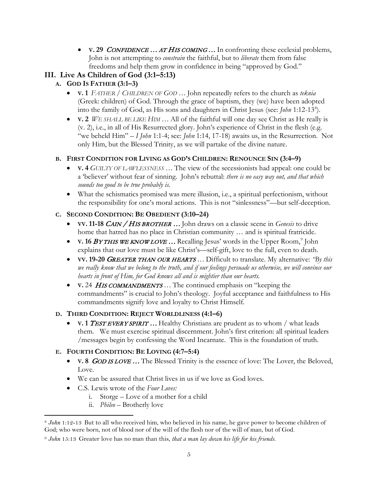• **V. 29** *CONFIDENCE* ... AT HIS COMING... In confronting these ecclesial problems, John is not attempting to *constrain* the faithful, but to *liberate* them from false freedoms and help them grow in confidence in being "approved by God."

## **III. Live As Children of God (3:1–5:13)**

- **A. GOD IS FATHER (3:1–3)**
	- **V. 1** *FATHER / CHILDREN OF GOD* … John repeatedly refers to the church as *teknia*  (Greek: children) of God. Through the grace of baptism, they (we) have been adopted into the family of God, as His sons and daughters in Christ Jesus (see: *John* 1:12-13<sup>[8](#page-4-0)</sup>).
	- **V. 2** *WE SHALL BE LIKE HIM …* All of the faithful will one day see Christ as He really is (v. 2), i.e., in all of His Resurrected glory. John's experience of Christ in the flesh (e.g. "we beheld Him" – *I John* 1:1-4; see: *John* 1:14, 17-18) awaits us, in the Resurrection. Not only Him, but the Blessed Trinity, as we will partake of the divine nature.

#### **B. FIRST CONDITION FOR LIVING AS GOD'S CHILDREN: RENOUNCE SIN (3:4–9)**

- **V. 4** *GUILTY OF LAWLESSNESS …* The view of the secessionists had appeal: one could be a 'believer' without fear of sinning. John's rebuttal: *there is no easy way out, and that which sounds too good to be true probably is.*
- What the schismatics promised was mere illusion, i.e., a spiritual perfectionism, without the responsibility for one's moral actions. This is not "sinlessness"—but self-deception.

#### **C. SECOND CONDITION: BE OBEDIENT (3:10–24)**

- **VV. 11-18** CAIN / HIS BROTHER … John draws on a classic scene in *Genesis* to drive home that hatred has no place in Christian community … and is spiritual fratricide.
- **V. 16 BY THIS WE KNOW LOVE** ... Recalling Jesus' words in the Upper Room,<sup>[9](#page-4-1)</sup> John explains that our love must be like Christ's—self-gift, love to the full, even to death.
- **VV. 19-20** GREATER THAN OUR HEARTS … Difficult to translate. My alternative: *"By this we really know that we belong to the truth, and if our feelings persuade us otherwise, we will convince our hearts in front of Him, for God knows all and is mightier than our hearts.*
- **V.** 24 HIS COMMANDMENTS ... The continued emphasis on "keeping the commandments" is crucial to John's theology. Joyful acceptance and faithfulness to His commandments signify love and loyalty to Christ Himself.

#### **D. THIRD CONDITION: REJECT WORLDLINESS (4:1–6)**

• **V. 1 TEST EVERY SPIRIT** ... Healthy Christians are prudent as to whom / what leads them. We must exercise spiritual discernment. John's first criterion: all spiritual leaders /messages begin by confessing the Word Incarnate. This is the foundation of truth.

### **E. FOURTH CONDITION: BE LOVING (4:7–5:4)**

- **V. 8** *GOD IS LOVE* ... The Blessed Trinity is the essence of love: The Lover, the Beloved, Love.
- We can be assured that Christ lives in us if we love as God loves.
- C.S. Lewis wrote of the *Four Loves:*
	- i. Storge Love of a mother for a child
		- ii. *Phileo*  Brotherly love

<span id="page-4-0"></span><sup>8</sup> *John* 1:12-13 But to all who received him, who believed in his name, he gave power to become children of God; who were born, not of blood nor of the will of the flesh nor of the will of man, but of God.  $\overline{a}$ 

<span id="page-4-1"></span><sup>9</sup> *John* 15:13 Greater love has no man than this, *that a man lay down his life for his friends*.